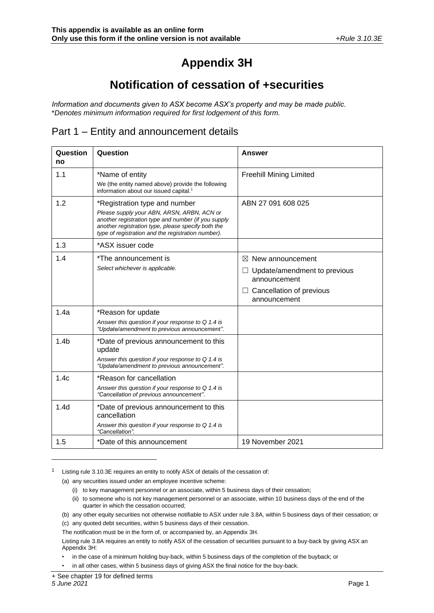# **Appendix 3H**

# **Notification of cessation of +securities**

*Information and documents given to ASX become ASX's property and may be made public.* \**Denotes minimum information required for first lodgement of this form.*

#### Part 1 – Entity and announcement details

| Question<br>no   | Question                                                                                                                                                                                                                                       | <b>Answer</b>                                                                                                                           |
|------------------|------------------------------------------------------------------------------------------------------------------------------------------------------------------------------------------------------------------------------------------------|-----------------------------------------------------------------------------------------------------------------------------------------|
| 1.1              | *Name of entity<br>We (the entity named above) provide the following<br>information about our issued capital. <sup>1</sup>                                                                                                                     | <b>Freehill Mining Limited</b>                                                                                                          |
| 1.2              | *Registration type and number<br>Please supply your ABN, ARSN, ARBN, ACN or<br>another registration type and number (if you supply<br>another registration type, please specify both the<br>type of registration and the registration number). | ABN 27 091 608 025                                                                                                                      |
| 1.3              | *ASX issuer code                                                                                                                                                                                                                               |                                                                                                                                         |
| 1.4              | *The announcement is<br>Select whichever is applicable.                                                                                                                                                                                        | $\boxtimes$ New announcement<br>Update/amendment to previous<br>ш<br>announcement<br>Cancellation of previous<br>$\Box$<br>announcement |
| 1.4a             | *Reason for update<br>Answer this question if your response to $Q$ 1.4 is<br>"Update/amendment to previous announcement".                                                                                                                      |                                                                                                                                         |
| 1.4 <sub>b</sub> | *Date of previous announcement to this<br>update<br>Answer this question if your response to $Q$ 1.4 is<br>"Update/amendment to previous announcement".                                                                                        |                                                                                                                                         |
| 1.4c             | *Reason for cancellation<br>Answer this question if your response to Q 1.4 is<br>"Cancellation of previous announcement".                                                                                                                      |                                                                                                                                         |
| 1.4d             | *Date of previous announcement to this<br>cancellation<br>Answer this question if your response to Q 1.4 is<br>"Cancellation".                                                                                                                 |                                                                                                                                         |
| 1.5              | *Date of this announcement                                                                                                                                                                                                                     | 19 November 2021                                                                                                                        |

<sup>1</sup> Listing rule 3.10.3E requires an entity to notify ASX of details of the cessation of:

- (a) any securities issued under an employee incentive scheme:
	- (i) to key management personnel or an associate, within 5 business days of their cessation;
	- (ii) to someone who is not key management personnel or an associate, within 10 business days of the end of the quarter in which the cessation occurred;
- (b) any other equity securities not otherwise notifiable to ASX under rule 3.8A, within 5 business days of their cessation; or (c) any quoted debt securities, within 5 business days of their cessation.

The notification must be in the form of, or accompanied by, an Appendix 3H.

Listing rule 3.8A requires an entity to notify ASX of the cessation of securities pursuant to a buy-back by giving ASX an Appendix 3H:

• in the case of a minimum holding buy-back, within 5 business days of the completion of the buyback; or

• in all other cases, within 5 business days of giving ASX the final notice for the buy-back.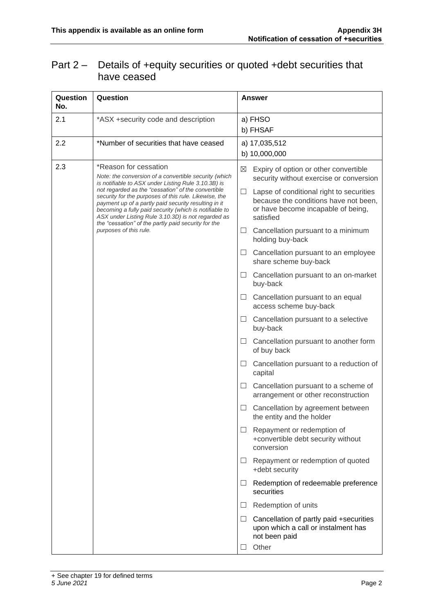## Part 2 – Details of +equity securities or quoted +debt securities that have ceased

| Question<br>No. | Question                                                                                                                                                                                                                                                                                                                                                                                                                                                                                                      | Answer                                                                                                                                    |
|-----------------|---------------------------------------------------------------------------------------------------------------------------------------------------------------------------------------------------------------------------------------------------------------------------------------------------------------------------------------------------------------------------------------------------------------------------------------------------------------------------------------------------------------|-------------------------------------------------------------------------------------------------------------------------------------------|
| 2.1             | *ASX +security code and description                                                                                                                                                                                                                                                                                                                                                                                                                                                                           | a) FHSO                                                                                                                                   |
|                 |                                                                                                                                                                                                                                                                                                                                                                                                                                                                                                               | b) FHSAF                                                                                                                                  |
| 2.2             | *Number of securities that have ceased                                                                                                                                                                                                                                                                                                                                                                                                                                                                        | a) 17,035,512                                                                                                                             |
|                 |                                                                                                                                                                                                                                                                                                                                                                                                                                                                                                               | b) 10,000,000                                                                                                                             |
| 2.3             | *Reason for cessation<br>Note: the conversion of a convertible security (which<br>is notifiable to ASX under Listing Rule 3.10.3B) is<br>not regarded as the "cessation" of the convertible<br>security for the purposes of this rule. Likewise, the<br>payment up of a partly paid security resulting in it<br>becoming a fully paid security (which is notifiable to<br>ASX under Listing Rule 3.10.3D) is not regarded as<br>the "cessation" of the partly paid security for the<br>purposes of this rule. | Expiry of option or other convertible<br>⊠<br>security without exercise or conversion                                                     |
|                 |                                                                                                                                                                                                                                                                                                                                                                                                                                                                                                               | Lapse of conditional right to securities<br>ш<br>because the conditions have not been,<br>or have become incapable of being,<br>satisfied |
|                 |                                                                                                                                                                                                                                                                                                                                                                                                                                                                                                               | Cancellation pursuant to a minimum<br>ш<br>holding buy-back                                                                               |
|                 |                                                                                                                                                                                                                                                                                                                                                                                                                                                                                                               | Cancellation pursuant to an employee<br>ப<br>share scheme buy-back                                                                        |
|                 |                                                                                                                                                                                                                                                                                                                                                                                                                                                                                                               | Cancellation pursuant to an on-market<br>□<br>buy-back                                                                                    |
|                 |                                                                                                                                                                                                                                                                                                                                                                                                                                                                                                               | Cancellation pursuant to an equal<br>ப<br>access scheme buy-back                                                                          |
|                 |                                                                                                                                                                                                                                                                                                                                                                                                                                                                                                               | Cancellation pursuant to a selective<br>ப<br>buy-back                                                                                     |
|                 |                                                                                                                                                                                                                                                                                                                                                                                                                                                                                                               | Cancellation pursuant to another form<br>ш<br>of buy back                                                                                 |
|                 |                                                                                                                                                                                                                                                                                                                                                                                                                                                                                                               | Cancellation pursuant to a reduction of<br>⊔<br>capital                                                                                   |
|                 |                                                                                                                                                                                                                                                                                                                                                                                                                                                                                                               | Cancellation pursuant to a scheme of<br>⊔<br>arrangement or other reconstruction                                                          |
|                 |                                                                                                                                                                                                                                                                                                                                                                                                                                                                                                               | Cancellation by agreement between<br>the entity and the holder                                                                            |
|                 |                                                                                                                                                                                                                                                                                                                                                                                                                                                                                                               | Repayment or redemption of<br>ш<br>+convertible debt security without<br>conversion                                                       |
|                 |                                                                                                                                                                                                                                                                                                                                                                                                                                                                                                               | Repayment or redemption of quoted<br>ப<br>+debt security                                                                                  |
|                 |                                                                                                                                                                                                                                                                                                                                                                                                                                                                                                               | Redemption of redeemable preference<br>ப<br>securities                                                                                    |
|                 |                                                                                                                                                                                                                                                                                                                                                                                                                                                                                                               | Redemption of units<br>⊔                                                                                                                  |
|                 |                                                                                                                                                                                                                                                                                                                                                                                                                                                                                                               | Cancellation of partly paid +securities<br>upon which a call or instalment has<br>not been paid                                           |
|                 |                                                                                                                                                                                                                                                                                                                                                                                                                                                                                                               | Other                                                                                                                                     |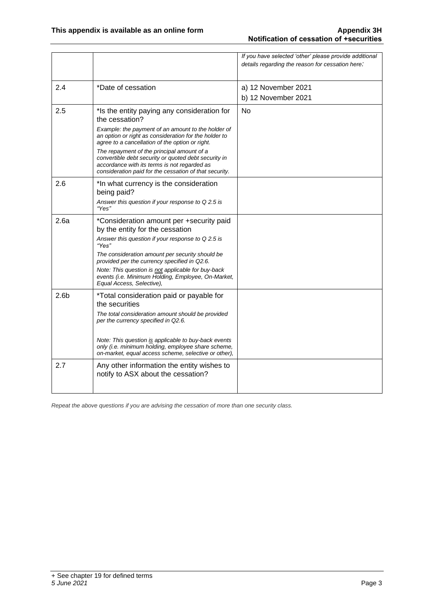|                  |                                                                                                                                                                                                              | If you have selected 'other' please provide additional<br>details regarding the reason for cessation here. |
|------------------|--------------------------------------------------------------------------------------------------------------------------------------------------------------------------------------------------------------|------------------------------------------------------------------------------------------------------------|
|                  |                                                                                                                                                                                                              |                                                                                                            |
| 2.4              | *Date of cessation                                                                                                                                                                                           | a) 12 November 2021                                                                                        |
|                  |                                                                                                                                                                                                              | b) 12 November 2021                                                                                        |
| 2.5              | *Is the entity paying any consideration for<br>the cessation?                                                                                                                                                | No                                                                                                         |
|                  | Example: the payment of an amount to the holder of<br>an option or right as consideration for the holder to<br>agree to a cancellation of the option or right.                                               |                                                                                                            |
|                  | The repayment of the principal amount of a<br>convertible debt security or quoted debt security in<br>accordance with its terms is not regarded as<br>consideration paid for the cessation of that security. |                                                                                                            |
| 2.6              | *In what currency is the consideration<br>being paid?                                                                                                                                                        |                                                                                                            |
|                  | Answer this question if your response to Q 2.5 is<br>"Yes"                                                                                                                                                   |                                                                                                            |
| 2.6a             | *Consideration amount per +security paid<br>by the entity for the cessation                                                                                                                                  |                                                                                                            |
|                  | Answer this question if your response to Q 2.5 is<br>"Yes"                                                                                                                                                   |                                                                                                            |
|                  | The consideration amount per security should be<br>provided per the currency specified in Q2.6.                                                                                                              |                                                                                                            |
|                  | Note: This question is not applicable for buy-back<br>events (i.e. Minimum Holding, Employee, On-Market,<br>Equal Access, Selective),                                                                        |                                                                                                            |
| 2.6 <sub>b</sub> | *Total consideration paid or payable for<br>the securities                                                                                                                                                   |                                                                                                            |
|                  | The total consideration amount should be provided<br>per the currency specified in Q2.6.                                                                                                                     |                                                                                                            |
|                  | Note: This question is applicable to buy-back events<br>only (i.e. minimum holding, employee share scheme,<br>on-market, equal access scheme, selective or other),                                           |                                                                                                            |
| 2.7              | Any other information the entity wishes to<br>notify to ASX about the cessation?                                                                                                                             |                                                                                                            |
|                  |                                                                                                                                                                                                              |                                                                                                            |

*Repeat the above questions if you are advising the cessation of more than one security class.*